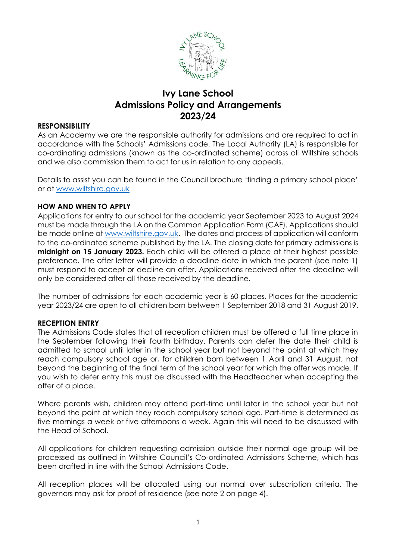

# **Ivy Lane School Admissions Policy and Arrangements 2023/24**

#### **RESPONSIBILITY**

As an Academy we are the responsible authority for admissions and are required to act in accordance with the Schools' Admissions code. The Local Authority (LA) is responsible for co-ordinating admissions (known as the co-ordinated scheme) across all Wiltshire schools and we also commission them to act for us in relation to any appeals.

Details to assist you can be found in the Council brochure 'finding a primary school place' or at [www.wiltshire.gov.uk](http://www.wiltshire.gov.uk/)

#### **HOW AND WHEN TO APPLY**

Applications for entry to our school for the academic year September 2023 to August 2024 must be made through the LA on the Common Application Form (CAF). Applications should be made online a[t www.wiltshire.gov.uk.](http://www.wiltshire.gov.uk/) The dates and process of application will conform to the co-ordinated scheme published by the LA. The closing date for primary admissions is **midnight on 15 January 2023.** Each child will be offered a place at their highest possible preference. The offer letter will provide a deadline date in which the parent (see note 1) must respond to accept or decline an offer. Applications received after the deadline will only be considered after all those received by the deadline.

The number of admissions for each academic year is 60 places. Places for the academic year 2023/24 are open to all children born between 1 September 2018 and 31 August 2019.

#### **RECEPTION ENTRY**

The Admissions Code states that all reception children must be offered a full time place in the September following their fourth birthday. Parents can defer the date their child is admitted to school until later in the school year but not beyond the point at which they reach compulsory school age or, for children born between 1 April and 31 August, not beyond the beginning of the final term of the school year for which the offer was made. If you wish to defer entry this must be discussed with the Headteacher when accepting the offer of a place.

Where parents wish, children may attend part-time until later in the school year but not beyond the point at which they reach compulsory school age. Part-time is determined as five mornings a week or five afternoons a week. Again this will need to be discussed with the Head of School.

All applications for children requesting admission outside their normal age group will be processed as outlined in Wiltshire Council's Co-ordinated Admissions Scheme, which has been drafted in line with the School Admissions Code.

All reception places will be allocated using our normal over subscription criteria. The governors may ask for proof of residence (see note 2 on page 4).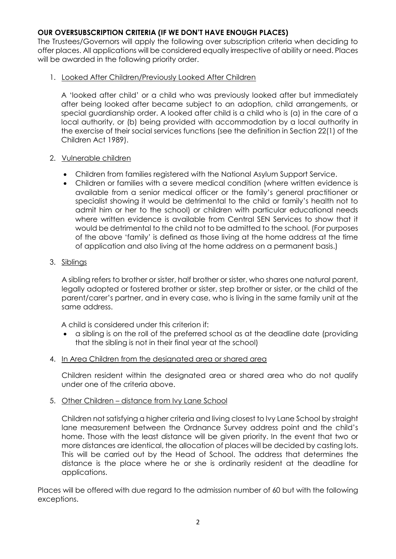# **OUR OVERSUBSCRIPTION CRITERIA (IF WE DON'T HAVE ENOUGH PLACES)**

The Trustees/Governors will apply the following over subscription criteria when deciding to offer places. All applications will be considered equally irrespective of ability or need. Places will be awarded in the following priority order.

#### 1. Looked After Children/Previously Looked After Children

A 'looked after child' or a child who was previously looked after but immediately after being looked after became subject to an adoption, child arrangements, or special guardianship order. A looked after child is a child who is (a) in the care of a local authority, or (b) being provided with accommodation by a local authority in the exercise of their social services functions (see the definition in Section 22(1) of the Children Act 1989).

#### 2. Vulnerable children

- Children from families registered with the National Asylum Support Service.
- Children or families with a severe medical condition (where written evidence is available from a senior medical officer or the family's general practitioner or specialist showing it would be detrimental to the child or family's health not to admit him or her to the school) or children with particular educational needs where written evidence is available from Central SEN Services to show that it would be detrimental to the child not to be admitted to the school. (For purposes of the above 'family' is defined as those living at the home address at the time of application and also living at the home address on a permanent basis.)

# 3. Siblings

A sibling refers to brother or sister, half brother or sister, who shares one natural parent, legally adopted or fostered brother or sister, step brother or sister, or the child of the parent/carer's partner, and in every case, who is living in the same family unit at the same address.

A child is considered under this criterion if:

 a sibling is on the roll of the preferred school as at the deadline date (providing that the sibling is not in their final year at the school)

#### 4. In Area Children from the designated area or shared area

Children resident within the designated area or shared area who do not qualify under one of the criteria above.

# 5. Other Children – distance from Ivy Lane School

Children not satisfying a higher criteria and living closest to Ivy Lane School by straight lane measurement between the Ordnance Survey address point and the child's home. Those with the least distance will be given priority. In the event that two or more distances are identical, the allocation of places will be decided by casting lots. This will be carried out by the Head of School. The address that determines the distance is the place where he or she is ordinarily resident at the deadline for applications.

Places will be offered with due regard to the admission number of 60 but with the following exceptions.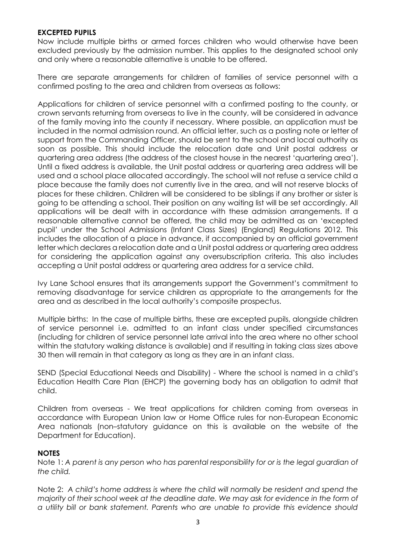#### **EXCEPTED PUPILS**

Now include multiple births or armed forces children who would otherwise have been excluded previously by the admission number. This applies to the designated school only and only where a reasonable alternative is unable to be offered.

There are separate arrangements for children of families of service personnel with a confirmed posting to the area and children from overseas as follows:

Applications for children of service personnel with a confirmed posting to the county, or crown servants returning from overseas to live in the county, will be considered in advance of the family moving into the county if necessary. Where possible, an application must be included in the normal admission round. An official letter, such as a posting note or letter of support from the Commanding Officer, should be sent to the school and local authority as soon as possible. This should include the relocation date and Unit postal address or quartering area address (the address of the closest house in the nearest 'quartering area'). Until a fixed address is available, the Unit postal address or quartering area address will be used and a school place allocated accordingly. The school will not refuse a service child a place because the family does not currently live in the area, and will not reserve blocks of places for these children. Children will be considered to be siblings if any brother or sister is going to be attending a school. Their position on any waiting list will be set accordingly. All applications will be dealt with in accordance with these admission arrangements. If a reasonable alternative cannot be offered, the child may be admitted as an 'excepted pupil' under the School Admissions (Infant Class Sizes) (England) Regulations 2012. This includes the allocation of a place in advance, if accompanied by an official government letter which declares a relocation date and a Unit postal address or quartering area address for considering the application against any oversubscription criteria. This also includes accepting a Unit postal address or quartering area address for a service child.

Ivy Lane School ensures that its arrangements support the Government's commitment to removing disadvantage for service children as appropriate to the arrangements for the area and as described in the local authority's composite prospectus.

Multiple births: In the case of multiple births, these are excepted pupils, alongside children of service personnel i.e. admitted to an infant class under specified circumstances (including for children of service personnel late arrival into the area where no other school within the statutory walking distance is available) and if resulting in taking class sizes above 30 then will remain in that category as long as they are in an infant class.

SEND (Special Educational Needs and Disability) - Where the school is named in a child's Education Health Care Plan (EHCP) the governing body has an obligation to admit that child.

Children from overseas - We treat applications for children coming from overseas in accordance with European Union law or Home Office rules for non-European Economic Area nationals (non–statutory guidance on this is available on the website of the Department for Education).

# **NOTES**

Note 1: *A parent is any person who has parental responsibility for or is the legal guardian of the child.* 

Note 2: *A child's home address is where the child will normally be resident and spend the majority of their school week at the deadline date. We may ask for evidence in the form of a utility bill or bank statement. Parents who are unable to provide this evidence should*